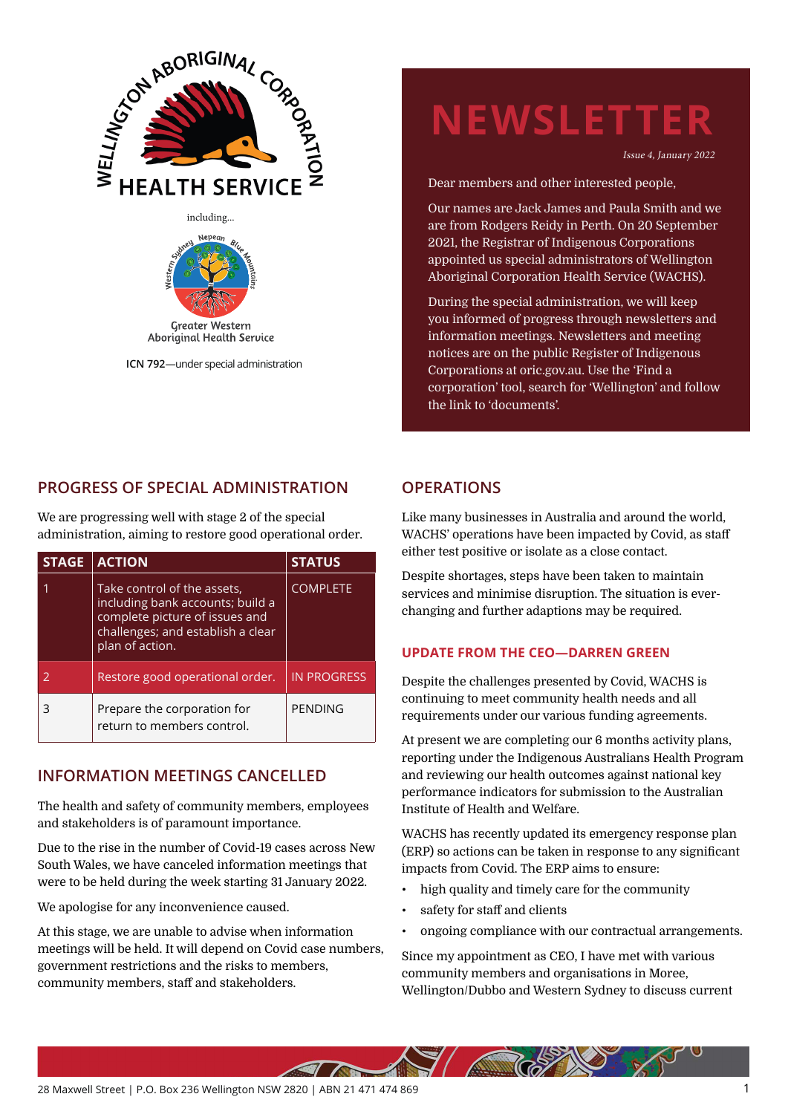



**ICN 792**—under special administration

# **NEWSLETTER**

Issue 4, January 2022

Dear members and other interested people,

Our names are Jack James and Paula Smith and we are from Rodgers Reidy in Perth. On 20 September 2021, the Registrar of Indigenous Corporations appointed us special administrators of Wellington Aboriginal Corporation Health Service (WACHS).

During the special administration, we will keep you informed of progress through newsletters and information meetings. Newsletters and meeting notices are on the public Register of Indigenous Corporations at oric.gov.au. Use the 'Find a corporation' tool, search for 'Wellington' and follow the link to 'documents'.

## **PROGRESS OF SPECIAL ADMINISTRATION**

We are progressing well with stage 2 of the special administration, aiming to restore good operational order.

| <b>STAGE</b> | <b>ACTION</b>                                                                                                                                             | <b>STATUS</b>      |
|--------------|-----------------------------------------------------------------------------------------------------------------------------------------------------------|--------------------|
|              | Take control of the assets,<br>including bank accounts; build a<br>complete picture of issues and<br>challenges; and establish a clear<br>plan of action. | <b>COMPLETE</b>    |
|              | Restore good operational order.                                                                                                                           | <b>IN PROGRESS</b> |
|              | Prepare the corporation for<br>return to members control.                                                                                                 | PENDING            |

# **INFORMATION MEETINGS CANCELLED**

The health and safety of community members, employees and stakeholders is of paramount importance.

Due to the rise in the number of Covid-19 cases across New South Wales, we have canceled information meetings that were to be held during the week starting 31 January 2022.

We apologise for any inconvenience caused.

At this stage, we are unable to advise when information meetings will be held. It will depend on Covid case numbers, government restrictions and the risks to members, community members, staff and stakeholders.

## **OPERATIONS**

Like many businesses in Australia and around the world, WACHS' operations have been impacted by Covid, as staff either test positive or isolate as a close contact.

Despite shortages, steps have been taken to maintain services and minimise disruption. The situation is everchanging and further adaptions may be required.

### **UPDATE FROM THE CEO—DARREN GREEN**

Despite the challenges presented by Covid, WACHS is continuing to meet community health needs and all requirements under our various funding agreements.

At present we are completing our 6 months activity plans, reporting under the Indigenous Australians Health Program and reviewing our health outcomes against national key performance indicators for submission to the Australian Institute of Health and Welfare.

WACHS has recently updated its emergency response plan (ERP) so actions can be taken in response to any significant impacts from Covid. The ERP aims to ensure:

• high quality and timely care for the community

**ANTREZANO** 

- safety for staff and clients
- ongoing compliance with our contractual arrangements.

Since my appointment as CEO, I have met with various community members and organisations in Moree, Wellington/Dubbo and Western Sydney to discuss current

**ATT**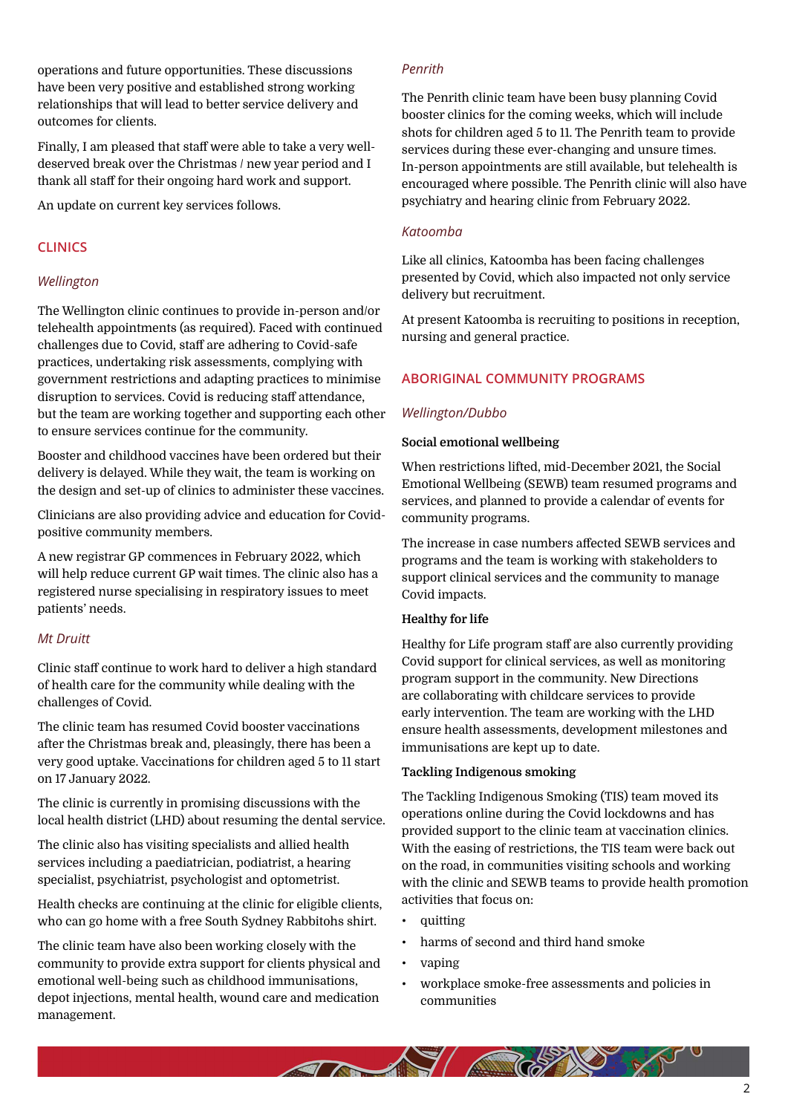operations and future opportunities. These discussions have been very positive and established strong working relationships that will lead to better service delivery and outcomes for clients.

Finally, I am pleased that staff were able to take a very welldeserved break over the Christmas / new year period and I thank all staff for their ongoing hard work and support.

An update on current key services follows.

#### **CLINICS**

#### *Wellington*

The Wellington clinic continues to provide in-person and/or telehealth appointments (as required). Faced with continued challenges due to Covid, staff are adhering to Covid-safe practices, undertaking risk assessments, complying with government restrictions and adapting practices to minimise disruption to services. Covid is reducing staff attendance, but the team are working together and supporting each other to ensure services continue for the community.

Booster and childhood vaccines have been ordered but their delivery is delayed. While they wait, the team is working on the design and set-up of clinics to administer these vaccines.

Clinicians are also providing advice and education for Covidpositive community members.

A new registrar GP commences in February 2022, which will help reduce current GP wait times. The clinic also has a registered nurse specialising in respiratory issues to meet patients' needs.

#### *Mt Druitt*

Clinic staff continue to work hard to deliver a high standard of health care for the community while dealing with the challenges of Covid.

The clinic team has resumed Covid booster vaccinations after the Christmas break and, pleasingly, there has been a very good uptake. Vaccinations for children aged 5 to 11 start on 17 January 2022.

The clinic is currently in promising discussions with the local health district (LHD) about resuming the dental service.

The clinic also has visiting specialists and allied health services including a paediatrician, podiatrist, a hearing specialist, psychiatrist, psychologist and optometrist.

Health checks are continuing at the clinic for eligible clients, who can go home with a free South Sydney Rabbitohs shirt.

The clinic team have also been working closely with the community to provide extra support for clients physical and emotional well-being such as childhood immunisations, depot injections, mental health, wound care and medication management.

#### *Penrith*

The Penrith clinic team have been busy planning Covid booster clinics for the coming weeks, which will include shots for children aged 5 to 11. The Penrith team to provide services during these ever-changing and unsure times. In-person appointments are still available, but telehealth is encouraged where possible. The Penrith clinic will also have psychiatry and hearing clinic from February 2022.

#### *Katoomba*

Like all clinics, Katoomba has been facing challenges presented by Covid, which also impacted not only service delivery but recruitment.

At present Katoomba is recruiting to positions in reception, nursing and general practice.

#### **ABORIGINAL COMMUNITY PROGRAMS**

#### *Wellington/Dubbo*

#### **Social emotional wellbeing**

When restrictions lifted, mid-December 2021, the Social Emotional Wellbeing (SEWB) team resumed programs and services, and planned to provide a calendar of events for community programs.

The increase in case numbers affected SEWB services and programs and the team is working with stakeholders to support clinical services and the community to manage Covid impacts.

#### **Healthy for life**

Healthy for Life program staff are also currently providing Covid support for clinical services, as well as monitoring program support in the community. New Directions are collaborating with childcare services to provide early intervention. The team are working with the LHD ensure health assessments, development milestones and immunisations are kept up to date.

#### **Tackling Indigenous smoking**

The Tackling Indigenous Smoking (TIS) team moved its operations online during the Covid lockdowns and has provided support to the clinic team at vaccination clinics. With the easing of restrictions, the TIS team were back out on the road, in communities visiting schools and working with the clinic and SEWB teams to provide health promotion activities that focus on:

- quitting
- harms of second and third hand smoke
- vaping
- workplace smoke-free assessments and policies in communities

 $\overline{2}$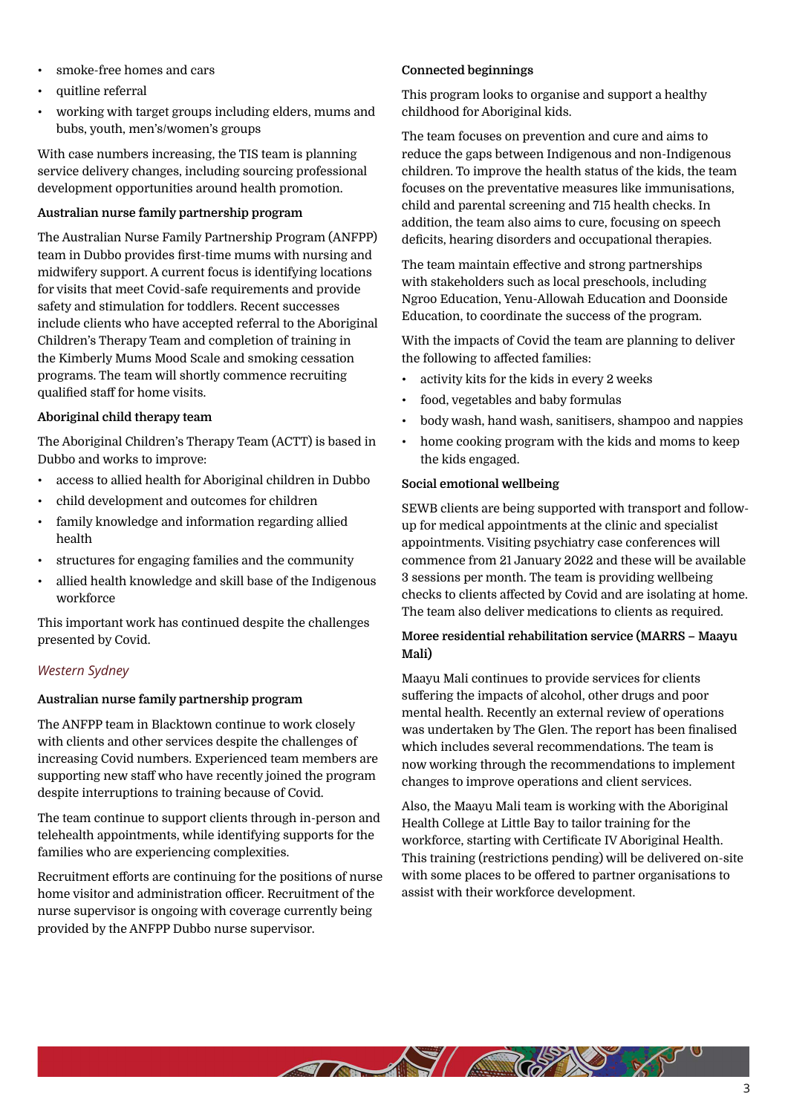- smoke-free homes and cars
- quitline referral
- working with target groups including elders, mums and bubs, youth, men's/women's groups

With case numbers increasing, the TIS team is planning service delivery changes, including sourcing professional development opportunities around health promotion.

#### **Australian nurse family partnership program**

The Australian Nurse Family Partnership Program (ANFPP) team in Dubbo provides first-time mums with nursing and midwifery support. A current focus is identifying locations for visits that meet Covid-safe requirements and provide safety and stimulation for toddlers. Recent successes include clients who have accepted referral to the Aboriginal Children's Therapy Team and completion of training in the Kimberly Mums Mood Scale and smoking cessation programs. The team will shortly commence recruiting qualified staff for home visits.

#### **Aboriginal child therapy team**

The Aboriginal Children's Therapy Team (ACTT) is based in Dubbo and works to improve:

- access to allied health for Aboriginal children in Dubbo
- child development and outcomes for children
- family knowledge and information regarding allied health
- structures for engaging families and the community
- allied health knowledge and skill base of the Indigenous workforce

This important work has continued despite the challenges presented by Covid.

#### *Western Sydney*

#### **Australian nurse family partnership program**

The ANFPP team in Blacktown continue to work closely with clients and other services despite the challenges of increasing Covid numbers. Experienced team members are supporting new staff who have recently joined the program despite interruptions to training because of Covid.

The team continue to support clients through in-person and telehealth appointments, while identifying supports for the families who are experiencing complexities.

Recruitment efforts are continuing for the positions of nurse home visitor and administration officer. Recruitment of the nurse supervisor is ongoing with coverage currently being provided by the ANFPP Dubbo nurse supervisor.

#### **Connected beginnings**

This program looks to organise and support a healthy childhood for Aboriginal kids.

The team focuses on prevention and cure and aims to reduce the gaps between Indigenous and non-Indigenous children. To improve the health status of the kids, the team focuses on the preventative measures like immunisations, child and parental screening and 715 health checks. In addition, the team also aims to cure, focusing on speech deficits, hearing disorders and occupational therapies.

The team maintain effective and strong partnerships with stakeholders such as local preschools, including Ngroo Education, Yenu-Allowah Education and Doonside Education, to coordinate the success of the program.

With the impacts of Covid the team are planning to deliver the following to affected families:

- activity kits for the kids in every 2 weeks
- food, vegetables and baby formulas
- body wash, hand wash, sanitisers, shampoo and nappies
- home cooking program with the kids and moms to keep the kids engaged.

#### **Social emotional wellbeing**

A MORE TO BE A STRING

SEWB clients are being supported with transport and followup for medical appointments at the clinic and specialist appointments. Visiting psychiatry case conferences will commence from 21 January 2022 and these will be available 3 sessions per month. The team is providing wellbeing checks to clients affected by Covid and are isolating at home. The team also deliver medications to clients as required.

#### **Moree residential rehabilitation service (MARRS – Maayu Mali)**

Maayu Mali continues to provide services for clients suffering the impacts of alcohol, other drugs and poor mental health. Recently an external review of operations was undertaken by The Glen. The report has been finalised which includes several recommendations. The team is now working through the recommendations to implement changes to improve operations and client services.

Also, the Maayu Mali team is working with the Aboriginal Health College at Little Bay to tailor training for the workforce, starting with Certificate IV Aboriginal Health. This training (restrictions pending) will be delivered on-site with some places to be offered to partner organisations to assist with their workforce development.